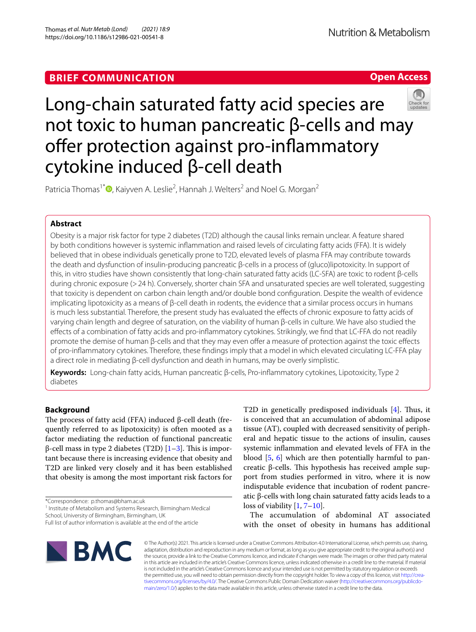## **BRIEF COMMUNICATION**

**Open Access**

# Long-chain saturated fatty acid species are not toxic to human pancreatic β-cells and may offer protection against pro-inflammatory cytokine induced β-cell death



Patricia Thomas<sup>1[\\*](http://orcid.org/0000-0001-9746-5127)</sup><sup>®</sup>, Kaiyven A. Leslie<sup>2</sup>, Hannah J. Welters<sup>2</sup> and Noel G. Morgan<sup>2</sup>

## **Abstract**

Obesity is a major risk factor for type 2 diabetes (T2D) although the causal links remain unclear. A feature shared by both conditions however is systemic infammation and raised levels of circulating fatty acids (FFA). It is widely believed that in obese individuals genetically prone to T2D, elevated levels of plasma FFA may contribute towards the death and dysfunction of insulin-producing pancreatic β-cells in a process of (gluco)lipotoxicity. In support of this, in vitro studies have shown consistently that long-chain saturated fatty acids (LC-SFA) are toxic to rodent β-cells during chronic exposure (> 24 h). Conversely, shorter chain SFA and unsaturated species are well tolerated, suggesting that toxicity is dependent on carbon chain length and/or double bond confguration. Despite the wealth of evidence implicating lipotoxicity as a means of β-cell death in rodents, the evidence that a similar process occurs in humans is much less substantial. Therefore, the present study has evaluated the effects of chronic exposure to fatty acids of varying chain length and degree of saturation, on the viability of human β-cells in culture. We have also studied the efects of a combination of fatty acids and pro-infammatory cytokines. Strikingly, we fnd that LC-FFA do not readily promote the demise of human β-cells and that they may even ofer a measure of protection against the toxic efects of pro-infammatory cytokines. Therefore, these fndings imply that a model in which elevated circulating LC-FFA play a direct role in mediating β-cell dysfunction and death in humans, may be overly simplistic.

**Keywords:** Long-chain fatty acids, Human pancreatic β-cells, Pro-infammatory cytokines, Lipotoxicity, Type 2 diabetes

## **Background**

The process of fatty acid (FFA) induced β-cell death (frequently referred to as lipotoxicity) is often mooted as a factor mediating the reduction of functional pancreatic β-cell mass in type 2 diabetes (T2D)  $[1-3]$  $[1-3]$  $[1-3]$ . This is important because there is increasing evidence that obesity and T2D are linked very closely and it has been established that obesity is among the most important risk factors for

<sup>1</sup> Institute of Metabolism and Systems Research, Birmingham Medical

School, University of Birmingham, Birmingham, UK

T2D in genetically predisposed individuals  $[4]$  $[4]$ . Thus, it is conceived that an accumulation of abdominal adipose tissue (AT), coupled with decreased sensitivity of peripheral and hepatic tissue to the actions of insulin, causes systemic infammation and elevated levels of FFA in the blood [\[5,](#page-6-3) [6\]](#page-6-4) which are then potentially harmful to pancreatic β-cells. This hypothesis has received ample support from studies performed in vitro, where it is now indisputable evidence that incubation of rodent pancreatic β-cells with long chain saturated fatty acids leads to a loss of viability [[1,](#page-6-0) [7](#page-6-5)[–10\]](#page-6-6).

The accumulation of abdominal AT associated with the onset of obesity in humans has additional



© The Author(s) 2021. This article is licensed under a Creative Commons Attribution 4.0 International License, which permits use, sharing, adaptation, distribution and reproduction in any medium or format, as long as you give appropriate credit to the original author(s) and the source, provide a link to the Creative Commons licence, and indicate if changes were made. The images or other third party material in this article are included in the article's Creative Commons licence, unless indicated otherwise in a credit line to the material. If material is not included in the article's Creative Commons licence and your intended use is not permitted by statutory regulation or exceeds the permitted use, you will need to obtain permission directly from the copyright holder. To view a copy of this licence, visit [http://crea](http://creativecommons.org/licenses/by/4.0/)[tivecommons.org/licenses/by/4.0/.](http://creativecommons.org/licenses/by/4.0/) The Creative Commons Public Domain Dedication waiver ([http://creativecommons.org/publicdo](http://creativecommons.org/publicdomain/zero/1.0/)[main/zero/1.0/\)](http://creativecommons.org/publicdomain/zero/1.0/) applies to the data made available in this article, unless otherwise stated in a credit line to the data.

<sup>\*</sup>Correspondence: p.thomas@bham.ac.uk

Full list of author information is available at the end of the article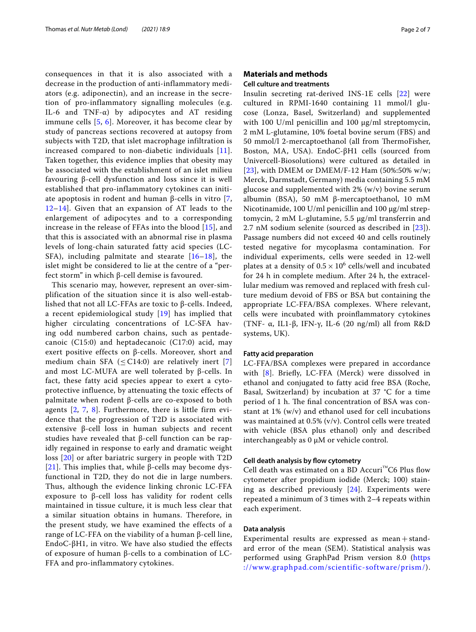consequences in that it is also associated with a decrease in the production of anti-inflammatory mediators (e.g. adiponectin), and an increase in the secretion of pro-inflammatory signalling molecules (e.g. IL-6 and TNF-α) by adipocytes and AT residing immune cells [[5,](#page-6-3) [6\]](#page-6-4). Moreover, it has become clear by study of pancreas sections recovered at autopsy from subjects with T2D, that islet macrophage infiltration is increased compared to non-diabetic individuals [[11\]](#page-6-7). Taken together, this evidence implies that obesity may be associated with the establishment of an islet milieu favouring β-cell dysfunction and loss since it is well established that pro-inflammatory cytokines can initiate apoptosis in rodent and human β-cells in vitro [\[7](#page-6-5), [12–](#page-6-8)[14](#page-6-9)]. Given that an expansion of AT leads to the enlargement of adipocytes and to a corresponding increase in the release of FFAs into the blood [\[15](#page-6-10)], and that this is associated with an abnormal rise in plasma levels of long-chain saturated fatty acid species (LC-SFA), including palmitate and stearate [\[16–](#page-6-11)[18\]](#page-6-12), the islet might be considered to lie at the centre of a "perfect storm" in which β-cell demise is favoured.

This scenario may, however, represent an over-simplification of the situation since it is also well-established that not all LC-FFAs are toxic to β-cells. Indeed, a recent epidemiological study [[19](#page-6-13)] has implied that higher circulating concentrations of LC-SFA having odd numbered carbon chains, such as pentadecanoic (C15:0) and heptadecanoic (C17:0) acid, may exert positive effects on β-cells. Moreover, short and medium chain SFA ( $\leq$  C14:0) are relatively inert [\[7](#page-6-5)] and most LC-MUFA are well tolerated by β-cells. In fact, these fatty acid species appear to exert a cytoprotective influence, by attenuating the toxic effects of palmitate when rodent β-cells are co-exposed to both agents [\[2,](#page-6-14) [7](#page-6-5), [8\]](#page-6-15). Furthermore, there is little firm evidence that the progression of T2D is associated with extensive β-cell loss in human subjects and recent studies have revealed that β-cell function can be rapidly regained in response to early and dramatic weight loss [\[20\]](#page-6-16) or after bariatric surgery in people with T2D [[21](#page-6-17)]. This implies that, while β-cells may become dysfunctional in T2D, they do not die in large numbers. Thus, although the evidence linking chronic LC-FFA exposure to β-cell loss has validity for rodent cells maintained in tissue culture, it is much less clear that a similar situation obtains in humans. Therefore, in the present study, we have examined the effects of a range of LC-FFA on the viability of a human β-cell line, EndoC-βH1, in vitro. We have also studied the effects of exposure of human β-cells to a combination of LC-FFA and pro-inflammatory cytokines.

## **Materials and methods**

#### **Cell culture and treatments**

Insulin secreting rat-derived INS-1E cells [[22\]](#page-6-18) were cultured in RPMI-1640 containing 11 mmol/l glucose (Lonza, Basel, Switzerland) and supplemented with 100 U/ml penicillin and 100  $\mu$ g/ml streptomycin, 2 mM L-glutamine, 10% foetal bovine serum (FBS) and 50 mmol/l 2-mercaptoethanol (all from ThermoFisher, Boston, MA, USA). EndoC-βH1 cells (sourced from Univercell-Biosolutions) were cultured as detailed in [[23](#page-6-19)], with DMEM or DMEM/F-12 Ham (50%:50% w/w; Merck, Darmstadt, Germany) media containing 5.5 mM glucose and supplemented with 2% (w/v) bovine serum albumin (BSA), 50 mM β-mercaptoethanol, 10 mM Nicotinamide, 100 U/ml penicillin and 100 µg/ml streptomycin, 2 mM L-glutamine, 5.5 µg/ml transferrin and 2.7 nM sodium selenite (sourced as described in [[23\]](#page-6-19)). Passage numbers did not exceed 40 and cells routinely tested negative for mycoplasma contamination. For individual experiments, cells were seeded in 12-well plates at a density of  $0.5 \times 10^6$  cells/well and incubated for 24 h in complete medium. After 24 h, the extracellular medium was removed and replaced with fresh culture medium devoid of FBS or BSA but containing the appropriate LC-FFA/BSA complexes. Where relevant, cells were incubated with proinfammatory cytokines (TNF- α, IL1-β, IFN-γ, IL-6 (20 ng/ml) all from R&D systems, UK).

### **Fatty acid preparation**

LC-FFA/BSA complexes were prepared in accordance with [[8](#page-6-15)]. Briefy, LC-FFA (Merck) were dissolved in ethanol and conjugated to fatty acid free BSA (Roche, Basal, Switzerland) by incubation at 37 °C for a time period of 1 h. The final concentration of BSA was constant at 1% (w/v) and ethanol used for cell incubations was maintained at 0.5% (v/v). Control cells were treated with vehicle (BSA plus ethanol) only and described interchangeably as 0 µM or vehicle control.

#### **Cell death analysis by fow cytometry**

Cell death was estimated on a BD Accuri<sup>™</sup>C6 Plus flow cytometer after propidium iodide (Merck; 100) staining as described previously [[24\]](#page-6-20). Experiments were repeated a minimum of 3 times with 2–4 repeats within each experiment.

## **Data analysis**

Experimental results are expressed as  $mean + stand$ ard error of the mean (SEM). Statistical analysis was performed using GraphPad Prism version 8.0 [\(https](https://www.graphpad.com/scientific-software/prism/) [://www.graphpad.com/scientific-software/prism/\)](https://www.graphpad.com/scientific-software/prism/).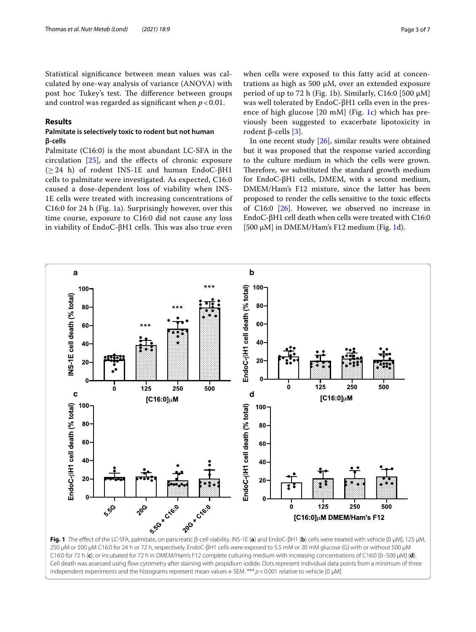Statistical signifcance between mean values was calculated by one-way analysis of variance (ANOVA) with post hoc Tukey's test. The difference between groups and control was regarded as signifcant when *p* < 0.01.

## **Results**

## **Palmitate is selectively toxic to rodent but not human β‑cells**

Palmitate (C16:0) is the most abundant LC-SFA in the circulation  $[25]$  $[25]$ , and the effects of chronic exposure  $(\geq 24)$  h) of rodent INS-1E and human EndoC-βH1 cells to palmitate were investigated. As expected, C16:0 caused a dose-dependent loss of viability when INS-1E cells were treated with increasing concentrations of C16:0 for 24 h (Fig. [1a](#page-2-0)). Surprisingly however, over this time course, exposure to C16:0 did not cause any loss in viability of EndoC-βH1 cells. This was also true even

when cells were exposed to this fatty acid at concentrations as high as 500 µM, over an extended exposure period of up to 72 h (Fig. [1](#page-2-0)b). Similarly, C16:0 [500  $\mu$ M] was well tolerated by EndoC-βH1 cells even in the presence of high glucose [20 mM] (Fig. [1c](#page-2-0)) which has previously been suggested to exacerbate lipotoxicity in rodent β-cells [[3\]](#page-6-1).

In one recent study [\[26\]](#page-6-22), similar results were obtained but it was proposed that the response varied according to the culture medium in which the cells were grown. Therefore, we substituted the standard growth medium for EndoC-βH1 cells, DMEM, with a second medium, DMEM/Ham's F12 mixture, since the latter has been proposed to render the cells sensitive to the toxic efects of C16:0 [[26\]](#page-6-22). However, we observed no increase in EndoC-βH1 cell death when cells were treated with C16:0  $[500 \mu M]$  in DMEM/Ham's F12 medium (Fig. [1d](#page-2-0)).



<span id="page-2-0"></span>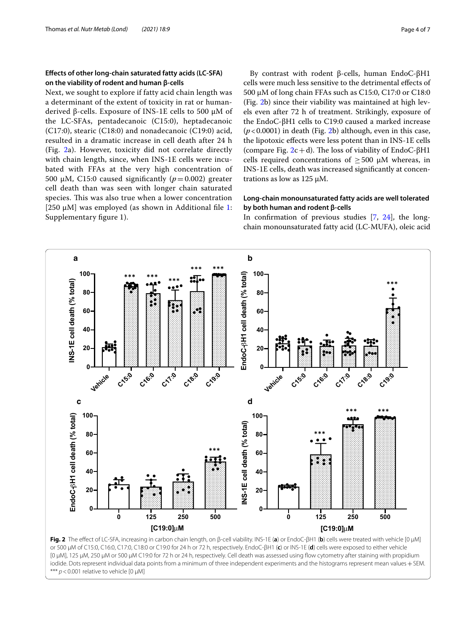## **Efects of other long‑chain saturated fatty acids (LC‑SFA) on the viability of rodent and human β‑cells**

Next, we sought to explore if fatty acid chain length was a determinant of the extent of toxicity in rat or humanderived β-cells. Exposure of INS-1E cells to 500 μM of the LC-SFAs, pentadecanoic (C15:0), heptadecanoic (C17:0), stearic (C18:0) and nonadecanoic (C19:0) acid, resulted in a dramatic increase in cell death after 24 h (Fig. [2a](#page-3-0)). However, toxicity did not correlate directly with chain length, since, when INS-1E cells were incubated with FFAs at the very high concentration of 500 μM, C15:0 caused significantly  $(p=0.002)$  greater cell death than was seen with longer chain saturated species. This was also true when a lower concentration [250  $\mu$ M] was employed (as shown in Additional file [1](#page-5-0): Supplementary fgure 1).

By contrast with rodent β-cells, human EndoC-βH1 cells were much less sensitive to the detrimental efects of 500 µM of long chain FFAs such as C15:0, C17:0 or C18:0 (Fig. [2b](#page-3-0)) since their viability was maintained at high levels even after 72 h of treatment. Strikingly, exposure of the EndoC-βH1 cells to C19:0 caused a marked increase (*p*<0.0001) in death (Fig. [2b](#page-3-0)) although, even in this case, the lipotoxic efects were less potent than in INS-1E cells (compare Fig.  $2c+d$  $2c+d$ ). The loss of viability of EndoC-βH1 cells required concentrations of  $\geq$  500  $\mu$ M whereas, in INS-1E cells, death was increased signifcantly at concentrations as low as 125 μM.

## **Long‑chain monounsaturated fatty acids are well tolerated by both human and rodent β‑cells**

In confrmation of previous studies [[7,](#page-6-5) [24\]](#page-6-20), the longchain monounsaturated fatty acid (LC-MUFA), oleic acid



<span id="page-3-0"></span>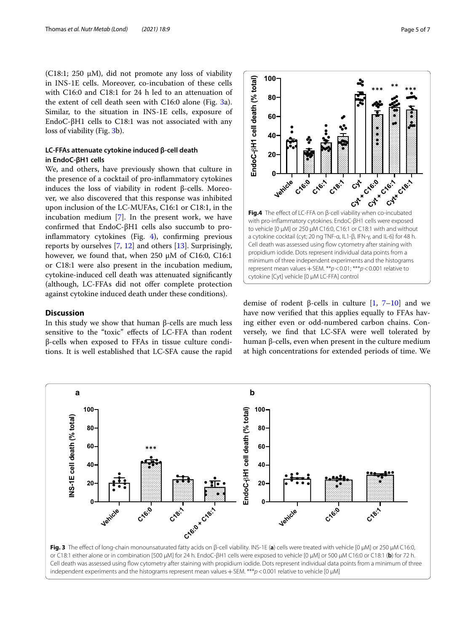(C18:1; 250 μM), did not promote any loss of viability in INS-1E cells. Moreover, co-incubation of these cells with C16:0 and C18:1 for 24 h led to an attenuation of the extent of cell death seen with  $C16:0$  alone (Fig.  $3a$ ). Similar, to the situation in INS-1E cells, exposure of EndoC-βH1 cells to C18:1 was not associated with any loss of viability (Fig. [3b](#page-4-0)).

## **LC‑FFAs attenuate cytokine induced β‑cell death in EndoC‑βH1 cells**

We, and others, have previously shown that culture in the presence of a cocktail of pro-infammatory cytokines induces the loss of viability in rodent β-cells. Moreover, we also discovered that this response was inhibited upon inclusion of the LC-MUFAs, C16:1 or C18:1, in the incubation medium [\[7](#page-6-5)]. In the present work, we have confrmed that EndoC-βH1 cells also succumb to proinfammatory cytokines (Fig. [4\)](#page-4-1), confrming previous reports by ourselves [[7,](#page-6-5) [12](#page-6-8)] and others [\[13\]](#page-6-23). Surprisingly, however, we found that, when 250  $\mu$ M of C16:0, C16:1 or C18:1 were also present in the incubation medium, cytokine-induced cell death was attenuated signifcantly (although, LC-FFAs did not ofer complete protection against cytokine induced death under these conditions).

## **Discussion**

In this study we show that human β-cells are much less sensitive to the "toxic" efects of LC-FFA than rodent β-cells when exposed to FFAs in tissue culture conditions. It is well established that LC-SFA cause the rapid



 $100 -$ 

EndoC-6H1 cell death (% total)

<span id="page-4-1"></span>with pro-infammatory cytokines. EndoC-βH1 cells were exposed to vehicle [0 µM] or 250 µM C16:0, C16:1 or C18:1 with and without a cytokine cocktail (cyt; 20 ng TNF-α, IL1-β, IFN-γ, and IL-6) for 48 h. Cell death was assessed using flow cytometry after staining with propidium iodide. Dots represent individual data points from a minimum of three independent experiments and the histograms represent mean values+SEM. \*\**p*<0.01; \*\*\**p*<0.001 relative to cytokine [Cyt] vehicle [0 µM LC-FFA] control

demise of rodent β-cells in culture [[1,](#page-6-0) [7](#page-6-5)–[10\]](#page-6-6) and we have now verifed that this applies equally to FFAs having either even or odd-numbered carbon chains. Conversely, we fnd that LC-SFA were well tolerated by human β-cells, even when present in the culture medium at high concentrations for extended periods of time. We

<span id="page-4-0"></span>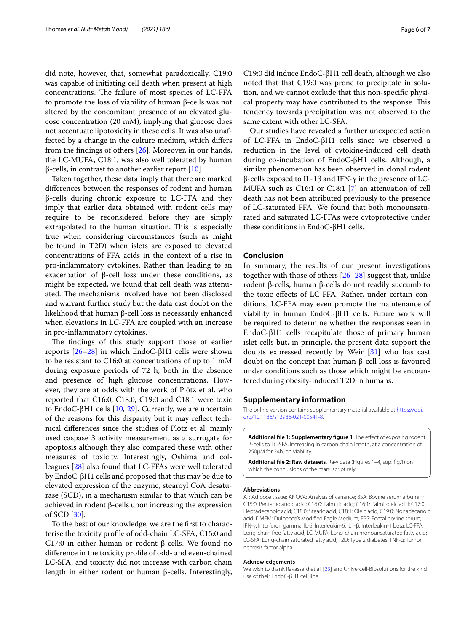did note, however, that, somewhat paradoxically, C19:0 was capable of initiating cell death when present at high concentrations. The failure of most species of LC-FFA to promote the loss of viability of human β-cells was not altered by the concomitant presence of an elevated glucose concentration (20 mM), implying that glucose does not accentuate lipotoxicity in these cells. It was also unaffected by a change in the culture medium, which difers from the fndings of others [\[26](#page-6-22)]. Moreover, in our hands, the LC-MUFA, C18:1, was also well tolerated by human β-cells, in contrast to another earlier report  $[10]$  $[10]$ .

Taken together, these data imply that there are marked diferences between the responses of rodent and human β-cells during chronic exposure to LC-FFA and they imply that earlier data obtained with rodent cells may require to be reconsidered before they are simply extrapolated to the human situation. This is especially true when considering circumstances (such as might be found in T2D) when islets are exposed to elevated concentrations of FFA acids in the context of a rise in pro-infammatory cytokines. Rather than leading to an exacerbation of β-cell loss under these conditions, as might be expected, we found that cell death was attenuated. The mechanisms involved have not been disclosed and warrant further study but the data cast doubt on the likelihood that human β-cell loss is necessarily enhanced when elevations in LC-FFA are coupled with an increase in pro-infammatory cytokines.

The findings of this study support those of earlier reports [\[26](#page-6-22)[–28\]](#page-6-24) in which EndoC-βH1 cells were shown to be resistant to C16:0 at concentrations of up to 1 mM during exposure periods of 72 h, both in the absence and presence of high glucose concentrations. However, they are at odds with the work of Plötz et al. who reported that C16:0, C18:0, C19:0 and C18:1 were toxic to EndoC-βH1 cells  $[10, 29]$  $[10, 29]$  $[10, 29]$ . Currently, we are uncertain of the reasons for this disparity but it may refect technical diferences since the studies of Plötz et al. mainly used caspase 3 activity measurement as a surrogate for apoptosis although they also compared these with other measures of toxicity. Interestingly, Oshima and colleagues [[28\]](#page-6-24) also found that LC-FFAs were well tolerated by EndoC-βH1 cells and proposed that this may be due to elevated expression of the enzyme, stearoyl CoA desaturase (SCD), in a mechanism similar to that which can be achieved in rodent β-cells upon increasing the expression of SCD [[30\]](#page-6-26).

To the best of our knowledge, we are the frst to characterise the toxicity profle of odd-chain LC-SFA, C15:0 and C17:0 in either human or rodent β-cells. We found no diference in the toxicity profle of odd- and even-chained LC-SFA, and toxicity did not increase with carbon chain length in either rodent or human β-cells. Interestingly,

C19:0 did induce EndoC-βH1 cell death, although we also noted that that C19:0 was prone to precipitate in solution, and we cannot exclude that this non-specifc physical property may have contributed to the response. This tendency towards precipitation was not observed to the same extent with other LC-SFA.

Our studies have revealed a further unexpected action of LC-FFA in EndoC-βH1 cells since we observed a reduction in the level of cytokine-induced cell death during co-incubation of EndoC-βH1 cells. Although, a similar phenomenon has been observed in clonal rodent β-cells exposed to IL-1β and IFN-γ in the presence of LC-MUFA such as C16:1 or C18:1 [[7\]](#page-6-5) an attenuation of cell death has not been attributed previously to the presence of LC-saturated FFA. We found that both monounsaturated and saturated LC-FFAs were cytoprotective under these conditions in EndoC-βH1 cells.

## **Conclusion**

In summary, the results of our present investigations together with those of others [[26](#page-6-22)[–28](#page-6-24)] suggest that, unlike rodent β-cells, human β-cells do not readily succumb to the toxic efects of LC-FFA. Rather, under certain conditions, LC-FFA may even promote the maintenance of viability in human EndoC-βH1 cells. Future work will be required to determine whether the responses seen in EndoC-βH1 cells recapitulate those of primary human islet cells but, in principle, the present data support the doubts expressed recently by Weir [\[31](#page-6-27)] who has cast doubt on the concept that human β-cell loss is favoured under conditions such as those which might be encountered during obesity-induced T2D in humans.

#### **Supplementary information**

The online version contains supplementary material available at [https://doi.](https://doi.org/10.1186/s12986-021-00541-8) [org/10.1186/s12986-021-00541-8](https://doi.org/10.1186/s12986-021-00541-8).

<span id="page-5-0"></span>Additional file 1: Supplementary figure 1. The effect of exposing rodent β-cells to LC-SFA, increasing in carbon chain length, at a concentration of 250µM for 24h, on viability.

<span id="page-5-1"></span>**Additional fle 2: Raw datasets**. Raw data (Figures 1–4, sup. fg.1) on which the conclusions of the manuscript rely.

#### **Abbreviations**

AT: Adipose tissue; ANOVA: Analysis of variance; BSA: Bovine serum albumin; C15:0: Pentadecanoic acid; C16:0: Palmitic acid; C16:1: Palmitoleic acid; C17:0: Heptadecanoic acid; C18:0: Stearic acid; C18:1: Oleic acid; C19:0: Nonadecanoic acid; DMEM: Dulbecco's Modifed Eagle Medium; FBS: Foetal bovine serum; IFN-γ: Interferon gamma; IL-6: Interleukin-6; IL1-β: Interleukin-1 beta; LC-FFA: Long-chain free fatty acid; LC-MUFA: Long-chain monounsaturated fatty acid; LC-SFA: Long-chain saturated fatty acid; T2D: Type 2 diabetes; TNF-α: Tumor necrosis factor alpha.

#### **Acknowledgements**

We wish to thank Ravassard et al. [\[23\]](#page-6-19) and Univercell-Biosolutions for the kind use of their EndoC-βH1 cell line.